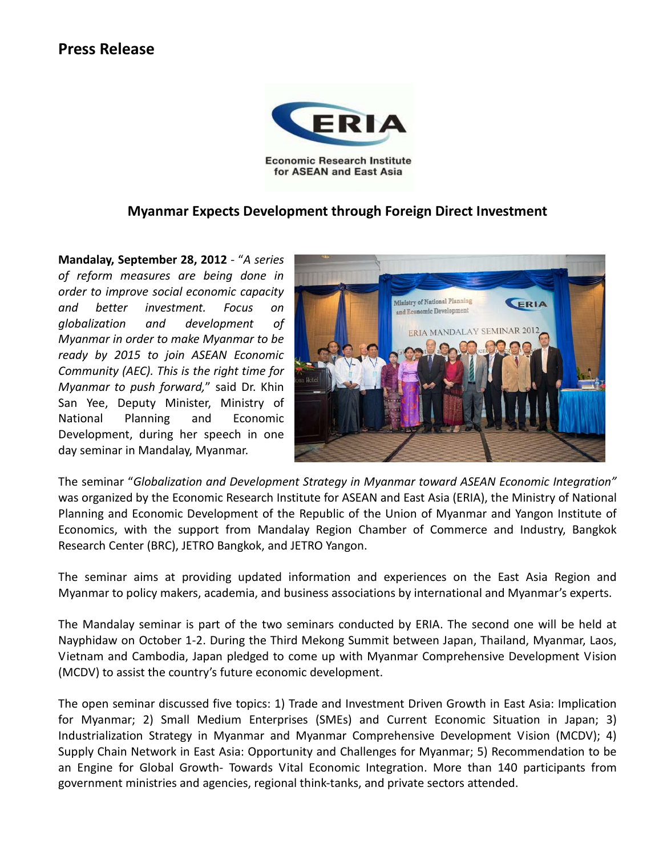## **Press Release**



**Myanmar Expects Development through Foreign Direct Investment**

**Mandalay, September 28, 2012** - "*A series of reform measures are being done in order to improve social economic capacity and better investment. Focus on globalization and development of Myanmar in order to make Myanmar to be ready by 2015 to join ASEAN Economic Community (AEC). This is the right time for Myanmar to push forward,*" said Dr. Khin San Yee, Deputy Minister, Ministry of National Planning and Economic Development, during her speech in one day seminar in Mandalay, Myanmar.



The seminar "*Globalization and Development Strategy in Myanmar toward ASEAN Economic Integration"*  was organized by the Economic Research Institute for ASEAN and East Asia (ERIA), the Ministry of National Planning and Economic Development of the Republic of the Union of Myanmar and Yangon Institute of Economics, with the support from Mandalay Region Chamber of Commerce and Industry, Bangkok Research Center (BRC), JETRO Bangkok, and JETRO Yangon.

The seminar aims at providing updated information and experiences on the East Asia Region and Myanmar to policy makers, academia, and business associations by international and Myanmar's experts.

The Mandalay seminar is part of the two seminars conducted by ERIA. The second one will be held at Nayphidaw on October 1-2. During the Third Mekong Summit between Japan, Thailand, Myanmar, Laos, Vietnam and Cambodia, Japan pledged to come up with Myanmar Comprehensive Development Vision (MCDV) to assist the country's future economic development.

The open seminar discussed five topics: 1) Trade and Investment Driven Growth in East Asia: Implication for Myanmar; 2) Small Medium Enterprises (SMEs) and Current Economic Situation in Japan; 3) Industrialization Strategy in Myanmar and Myanmar Comprehensive Development Vision (MCDV); 4) Supply Chain Network in East Asia: Opportunity and Challenges for Myanmar; 5) Recommendation to be an Engine for Global Growth- Towards Vital Economic Integration. More than 140 participants from government ministries and agencies, regional think-tanks, and private sectors attended.